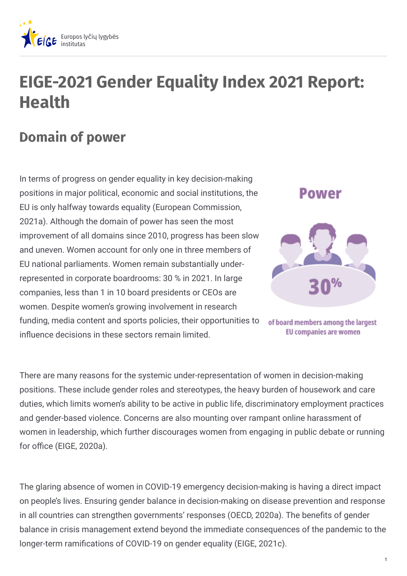

## **EIGE-2021 Gender Equality Index 2021 Report: Health**

## **Domain of power**

In terms of progress on gender equality in key decision-making positions in major political, economic and social institutions, the EU is only halfway towards equality (European Commission, 2021a). Although the domain of power has seen the most improvement of all domains since 2010, progress has been slow and uneven. Women account for only one in three members of EU national parliaments. Women remain substantially underrepresented in corporate boardrooms: 30 % in 2021. In large companies, less than 1 in 10 board presidents or CEOs are women. Despite women's growing involvement in research funding, media content and sports policies, their opportunities to influence decisions in these sectors remain limited.



of board members among the largest **EU companies are women** 

There are many reasons for the systemic under-representation of women in decision-making positions. These include gender roles and stereotypes, the heavy burden of housework and care duties, which limits women's ability to be active in public life, discriminatory employment practices and gender-based violence. Concerns are also mounting over rampant online harassment of women in leadership, which further discourages women from engaging in public debate or running for office (EIGE, 2020a).

The glaring absence of women in COVID-19 emergency decision-making is having a direct impact on people's lives. Ensuring gender balance in decision-making on disease prevention and response in all countries can strengthen governments' responses (OECD, 2020a). The benefits of gender balance in crisis management extend beyond the immediate consequences of the pandemic to the longer-term ramifications of COVID-19 on gender equality (EIGE, 2021c).